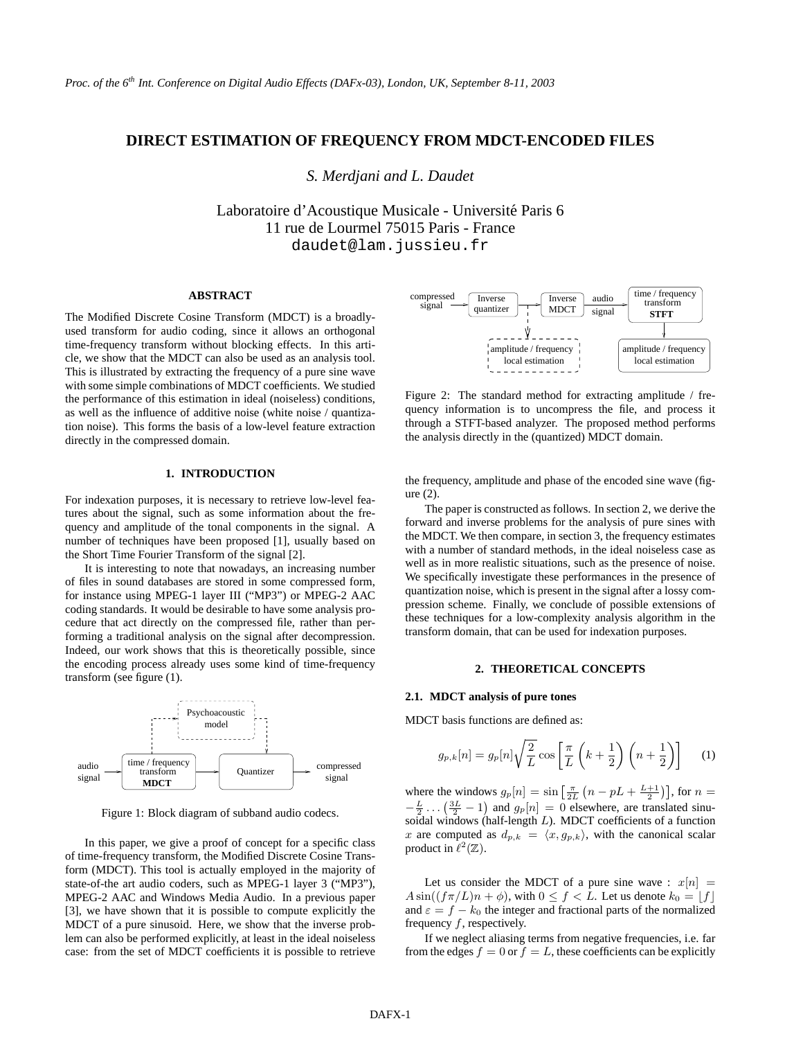# **DIRECT ESTIMATION OF FREQUENCY FROM MDCT-ENCODED FILES**

*S. Merdjani and L. Daudet*

Laboratoire d'Acoustique Musicale - Université Paris 6 11 rue de Lourmel 75015 Paris - France daudet@lam.jussieu.fr

## **ABSTRACT**

The Modified Discrete Cosine Transform (MDCT) is a broadlyused transform for audio coding, since it allows an orthogonal time-frequency transform without blocking effects. In this article, we show that the MDCT can also be used as an analysis tool. This is illustrated by extracting the frequency of a pure sine wave with some simple combinations of MDCT coefficients. We studied the performance of this estimation in ideal (noiseless) conditions, as well as the influence of additive noise (white noise / quantization noise). This forms the basis of a low-level feature extraction directly in the compressed domain.

### **1. INTRODUCTION**

For indexation purposes, it is necessary to retrieve low-level features about the signal, such as some information about the frequency and amplitude of the tonal components in the signal. A number of techniques have been proposed [1], usually based on the Short Time Fourier Transform of the signal [2].

It is interesting to note that nowadays, an increasing number of files in sound databases are stored in some compressed form, for instance using MPEG-1 layer III ("MP3") or MPEG-2 AAC coding standards. It would be desirable to have some analysis procedure that act directly on the compressed file, rather than performing a traditional analysis on the signal after decompression. Indeed, our work shows that this is theoretically possible, since the encoding process already uses some kind of time-frequency transform (see figure (1).



Figure 1: Block diagram of subband audio codecs.

In this paper, we give a proof of concept for a specific class of time-frequency transform, the Modified Discrete Cosine Transform (MDCT). This tool is actually employed in the majority of state-of-the art audio coders, such as MPEG-1 layer 3 ("MP3"), MPEG-2 AAC and Windows Media Audio. In a previous paper [3], we have shown that it is possible to compute explicitly the MDCT of a pure sinusoid. Here, we show that the inverse problem can also be performed explicitly, at least in the ideal noiseless case: from the set of MDCT coefficients it is possible to retrieve



Figure 2: The standard method for extracting amplitude / frequency information is to uncompress the file, and process it through a STFT-based analyzer. The proposed method performs the analysis directly in the (quantized) MDCT domain.

the frequency, amplitude and phase of the encoded sine wave (figure (2).

The paper is constructed as follows. In section 2, we derive the forward and inverse problems for the analysis of pure sines with the MDCT. We then compare, in section 3, the frequency estimates with a number of standard methods, in the ideal noiseless case as well as in more realistic situations, such as the presence of noise. We specifically investigate these performances in the presence of quantization noise, which is present in the signal after a lossy compression scheme. Finally, we conclude of possible extensions of these techniques for a low-complexity analysis algorithm in the transform domain, that can be used for indexation purposes.

# **2. THEORETICAL CONCEPTS**

## **2.1. MDCT analysis of pure tones**

MDCT basis functions are defined as:

$$
g_{p,k}[n] = g_p[n]\sqrt{\frac{2}{L}}\cos\left[\frac{\pi}{L}\left(k+\frac{1}{2}\right)\left(n+\frac{1}{2}\right)\right]
$$
 (1)

where the windows  $g_p[n] = \sin\left[\frac{\pi}{2L}\left(n - pL + \frac{L+1}{2}\right)\right]$ , for  $n =$  $-\frac{L}{2}$ ...  $\left(\frac{3L}{2}-1\right)$  and  $g_p[n] = 0$  elsewhere, are translated sinusoidal windows (half-length L). MDCT coefficients of a function x are computed as  $d_{p,k} = \langle x, g_{p,k} \rangle$ , with the canonical scalar product in  $\ell^2(\mathbb{Z})$ .

Let us consider the MDCT of a pure sine wave :  $x[n] =$  $A \sin((f \pi/L)n + \phi)$ , with  $0 \le f \le L$ . Let us denote  $k_0 = |f|$ and  $\varepsilon = f - k_0$  the integer and fractional parts of the normalized frequency  $f$ , respectively.

If we neglect aliasing terms from negative frequencies, i.e. far from the edges  $f = 0$  or  $f = L$ , these coefficients can be explicitly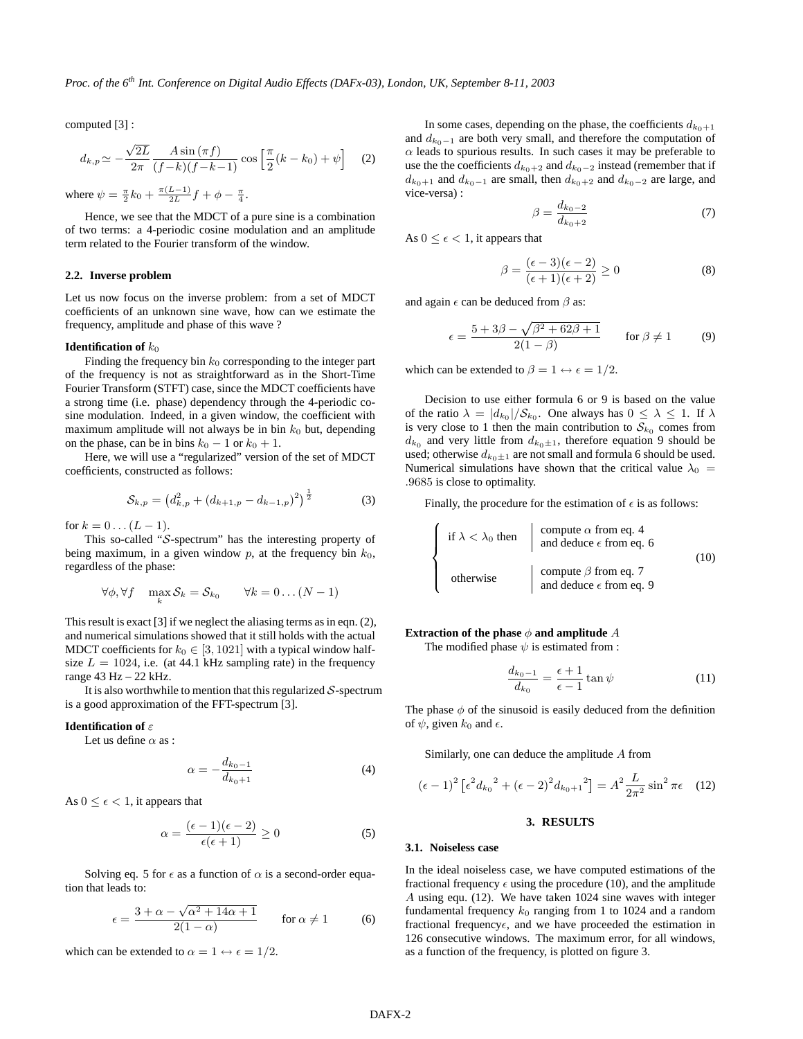computed [3] :

$$
d_{k,p} \simeq -\frac{\sqrt{2L}}{2\pi} \frac{A\sin\left(\pi f\right)}{\left(f-k\right)\left(f-k-1\right)} \cos\left[\frac{\pi}{2}\left(k-k_0\right)+\psi\right] \quad (2)
$$

where  $\psi = \frac{\pi}{2}k_0 + \frac{\pi(L-1)}{2L}f + \phi - \frac{\pi}{4}$ .

Hence, we see that the MDCT of a pure sine is a combination of two terms: a 4-periodic cosine modulation and an amplitude term related to the Fourier transform of the window.

#### **2.2. Inverse problem**

Let us now focus on the inverse problem: from a set of MDCT coefficients of an unknown sine wave, how can we estimate the frequency, amplitude and phase of this wave ?

#### **Identification of**  $k_0$

Finding the frequency bin  $k_0$  corresponding to the integer part of the frequency is not as straightforward as in the Short-Time Fourier Transform (STFT) case, since the MDCT coefficients have a strong time (i.e. phase) dependency through the 4-periodic cosine modulation. Indeed, in a given window, the coefficient with maximum amplitude will not always be in bin  $k_0$  but, depending on the phase, can be in bins  $k_0 - 1$  or  $k_0 + 1$ .

Here, we will use a "regularized" version of the set of MDCT coefficients, constructed as follows:

$$
S_{k,p} = \left(d_{k,p}^2 + \left(d_{k+1,p} - d_{k-1,p}\right)^2\right)^{\frac{1}{2}} \tag{3}
$$

for  $k = 0... (L - 1)$ .

This so-called "S-spectrum" has the interesting property of being maximum, in a given window  $p$ , at the frequency bin  $k_0$ , regardless of the phase:

$$
\forall \phi, \forall f \quad \max_{k} \mathcal{S}_k = \mathcal{S}_{k_0} \qquad \forall k = 0 \dots (N-1)
$$

This result is exact [3] if we neglect the aliasing terms as in eqn. (2), and numerical simulations showed that it still holds with the actual MDCT coefficients for  $k_0 \in [3, 1021]$  with a typical window halfsize  $L = 1024$ , i.e. (at 44.1 kHz sampling rate) in the frequency range 43 Hz – 22 kHz.

It is also worthwhile to mention that this regularized  $S$ -spectrum is a good approximation of the FFT-spectrum [3].

## **Identification of** ε

Let us define  $\alpha$  as :

$$
\alpha = -\frac{d_{k_0 - 1}}{d_{k_0 + 1}}\tag{4}
$$

As  $0 \leq \epsilon < 1$ , it appears that

$$
\alpha = \frac{(\epsilon - 1)(\epsilon - 2)}{\epsilon(\epsilon + 1)} \ge 0 \tag{5}
$$

Solving eq. 5 for  $\epsilon$  as a function of  $\alpha$  is a second-order equation that leads to:

$$
\epsilon = \frac{3 + \alpha - \sqrt{\alpha^2 + 14\alpha + 1}}{2(1 - \alpha)} \quad \text{for } \alpha \neq 1 \quad (6)
$$

which can be extended to  $\alpha = 1 \leftrightarrow \epsilon = 1/2$ .

In some cases, depending on the phase, the coefficients  $d_{k_0+1}$ and  $d_{k_0-1}$  are both very small, and therefore the computation of  $\alpha$  leads to spurious results. In such cases it may be preferable to use the the coefficients  $d_{k_0+2}$  and  $d_{k_0-2}$  instead (remember that if  $d_{k_0+1}$  and  $d_{k_0-1}$  are small, then  $d_{k_0+2}$  and  $d_{k_0-2}$  are large, and vice-versa) :

$$
\beta = \frac{d_{k_0 - 2}}{d_{k_0 + 2}}\tag{7}
$$

As  $0 \leq \epsilon < 1$ , it appears that

$$
\beta = \frac{(\epsilon - 3)(\epsilon - 2)}{(\epsilon + 1)(\epsilon + 2)} \ge 0
$$
\n(8)

and again  $\epsilon$  can be deduced from  $\beta$  as:

$$
\epsilon = \frac{5 + 3\beta - \sqrt{\beta^2 + 62\beta + 1}}{2(1 - \beta)} \quad \text{for } \beta \neq 1 \tag{9}
$$

which can be extended to  $\beta = 1 \leftrightarrow \epsilon = 1/2$ .

Decision to use either formula 6 or 9 is based on the value of the ratio  $\lambda = |d_{k_0}| / S_{k_0}$ . One always has  $0 \leq \lambda \leq 1$ . If  $\lambda$ is very close to 1 then the main contribution to  $S_{k_0}$  comes from  $d_{k_0}$  and very little from  $d_{k_0 \pm 1}$ , therefore equation 9 should be used; otherwise  $d_{k_0\pm 1}$  are not small and formula 6 should be used. Numerical simulations have shown that the critical value  $\lambda_0$  = .9685 is close to optimality.

Finally, the procedure for the estimation of  $\epsilon$  is as follows:

$$
\begin{cases}\n\text{if } \lambda < \lambda_0 \text{ then} & \text{compute } \alpha \text{ from eq. 4} \\
\text{and deduce } \epsilon \text{ from eq. 6} \\
\text{otherwise} & \text{compute } \beta \text{ from eq. 7} \\
\text{and deduce } \epsilon \text{ from eq. 9}\n\end{cases}\n\tag{10}
$$

## **Extraction of the phase**  $\phi$  **and amplitude** A

The modified phase  $\psi$  is estimated from :

$$
\frac{d_{k_0-1}}{d_{k_0}} = \frac{\epsilon+1}{\epsilon-1} \tan \psi \tag{11}
$$

The phase  $\phi$  of the sinusoid is easily deduced from the definition of  $\psi$ , given  $k_0$  and  $\epsilon$ .

Similarly, one can deduce the amplitude A from

$$
(\epsilon - 1)^2 \left[ \epsilon^2 d_{k_0}^2 + (\epsilon - 2)^2 d_{k_0 + 1}^2 \right] = A^2 \frac{L}{2\pi^2} \sin^2 \pi \epsilon \quad (12)
$$

# **3. RESULTS**

#### **3.1. Noiseless case**

In the ideal noiseless case, we have computed estimations of the fractional frequency  $\epsilon$  using the procedure (10), and the amplitude A using equ. (12). We have taken 1024 sine waves with integer fundamental frequency  $k_0$  ranging from 1 to 1024 and a random fractional frequency $\epsilon$ , and we have proceeded the estimation in 126 consecutive windows. The maximum error, for all windows, as a function of the frequency, is plotted on figure 3.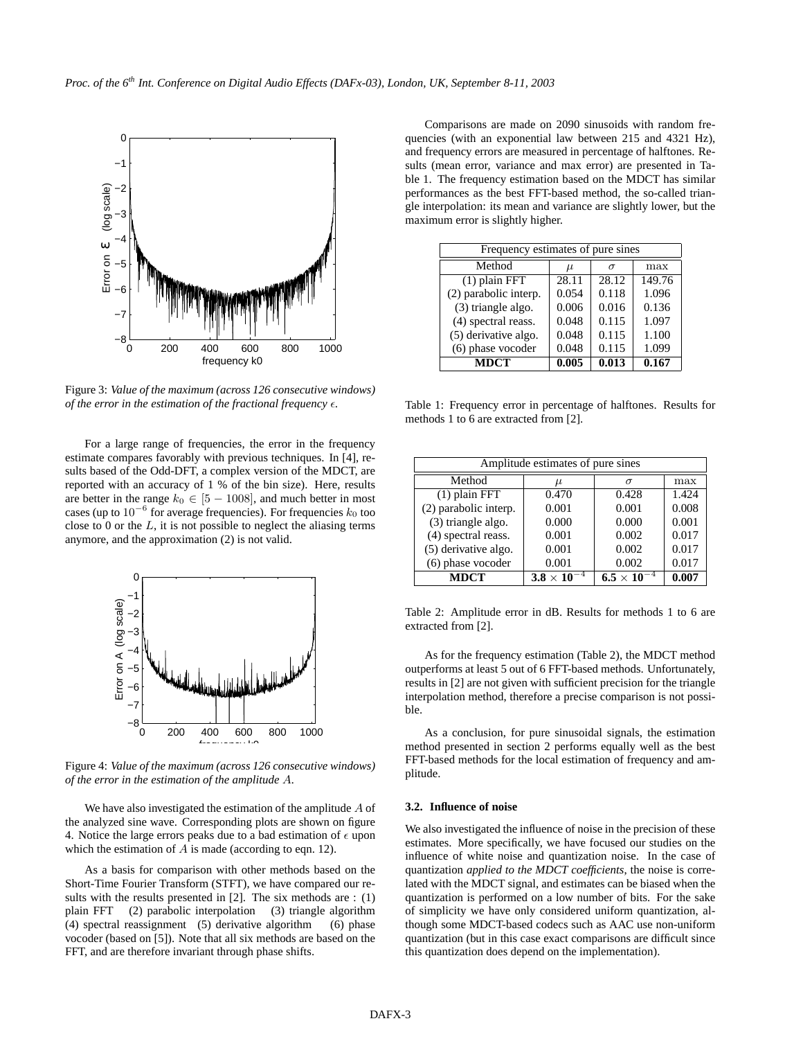

Figure 3: *Value of the maximum (across 126 consecutive windows) of the error in the estimation of the fractional frequency*  $\epsilon$ *.* 

For a large range of frequencies, the error in the frequency estimate compares favorably with previous techniques. In [4], results based of the Odd-DFT, a complex version of the MDCT, are reported with an accuracy of 1 % of the bin size). Here, results are better in the range  $k_0 \in [5 - 1008]$ , and much better in most cases (up to  $10^{-6}$  for average frequencies). For frequencies  $k_0$  too close to 0 or the  $L$ , it is not possible to neglect the aliasing terms anymore, and the approximation (2) is not valid.



Figure 4: *Value of the maximum (across 126 consecutive windows) of the error in the estimation of the amplitude* A*.*

We have also investigated the estimation of the amplitude  $A$  of the analyzed sine wave. Corresponding plots are shown on figure 4. Notice the large errors peaks due to a bad estimation of  $\epsilon$  upon which the estimation of  $A$  is made (according to eqn. 12).

As a basis for comparison with other methods based on the Short-Time Fourier Transform (STFT), we have compared our results with the results presented in [2]. The six methods are : (1) plain FFT (2) parabolic interpolation (3) triangle algorithm (4) spectral reassignment (5) derivative algorithm (6) phase vocoder (based on [5]). Note that all six methods are based on the FFT, and are therefore invariant through phase shifts.

Comparisons are made on 2090 sinusoids with random frequencies (with an exponential law between 215 and 4321 Hz), and frequency errors are measured in percentage of halftones. Results (mean error, variance and max error) are presented in Table 1. The frequency estimation based on the MDCT has similar performances as the best FFT-based method, the so-called triangle interpolation: its mean and variance are slightly lower, but the maximum error is slightly higher.

| Frequency estimates of pure sines |       |          |        |  |
|-----------------------------------|-------|----------|--------|--|
| Method                            | $\mu$ | $\sigma$ | max    |  |
| $(1)$ plain FFT                   | 28.11 | 28.12    | 149.76 |  |
| (2) parabolic interp.             | 0.054 | 0.118    | 1.096  |  |
| (3) triangle algo.                | 0.006 | 0.016    | 0.136  |  |
| (4) spectral reass.               | 0.048 | 0.115    | 1.097  |  |
| (5) derivative algo.              | 0.048 | 0.115    | 1.100  |  |
| (6) phase vocoder                 | 0.048 | 0.115    | 1.099  |  |
| <b>MDCT</b>                       | 0.005 | 0.013    | 0.167  |  |

Table 1: Frequency error in percentage of halftones. Results for methods 1 to 6 are extracted from [2].

| Amplitude estimates of pure sines |                      |                      |       |  |
|-----------------------------------|----------------------|----------------------|-------|--|
| Method                            | $\mu$                | $\sigma$             | max   |  |
| $(1)$ plain FFT                   | 0.470                | 0.428                | 1.424 |  |
| (2) parabolic interp.             | 0.001                | 0.001                | 0.008 |  |
| (3) triangle algo.                | 0.000                | 0.000                | 0.001 |  |
| (4) spectral reass.               | 0.001                | 0.002                | 0.017 |  |
| (5) derivative algo.              | 0.001                | 0.002                | 0.017 |  |
| (6) phase vocoder                 | 0.001                | 0.002                | 0.017 |  |
| <b>MDCT</b>                       | $3.8 \times 10^{-7}$ | $6.5 \times 10^{-7}$ | 0.007 |  |

Table 2: Amplitude error in dB. Results for methods 1 to 6 are extracted from [2].

As for the frequency estimation (Table 2), the MDCT method outperforms at least 5 out of 6 FFT-based methods. Unfortunately, results in [2] are not given with sufficient precision for the triangle interpolation method, therefore a precise comparison is not possible.

As a conclusion, for pure sinusoidal signals, the estimation method presented in section 2 performs equally well as the best FFT-based methods for the local estimation of frequency and amplitude.

# **3.2. Influence of noise**

We also investigated the influence of noise in the precision of these estimates. More specifically, we have focused our studies on the influence of white noise and quantization noise. In the case of quantization *applied to the MDCT coefficients*, the noise is correlated with the MDCT signal, and estimates can be biased when the quantization is performed on a low number of bits. For the sake of simplicity we have only considered uniform quantization, although some MDCT-based codecs such as AAC use non-uniform quantization (but in this case exact comparisons are difficult since this quantization does depend on the implementation).